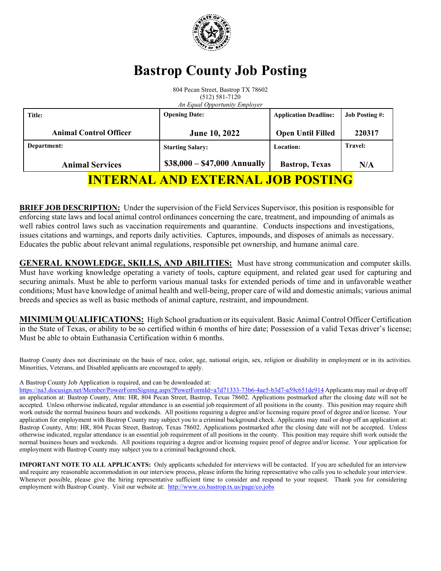

# **Bastrop County Job Posting**

804 Pecan Street, Bastrop TX 78602 (512) 581-7120 *An Equal Opportunity Employer*

| Title:                                   | <b>Opening Date:</b>         | <b>Application Deadline:</b> | <b>Job Posting #:</b> |
|------------------------------------------|------------------------------|------------------------------|-----------------------|
| <b>Animal Control Officer</b>            | <b>June 10, 2022</b>         | <b>Open Until Filled</b>     | 220317                |
| Department:                              | <b>Starting Salary:</b>      | Location:                    | <b>Travel:</b>        |
| <b>Animal Services</b>                   | $$38,000 - $47,000$ Annually | <b>Bastrop</b> , Texas       | N/A                   |
| <b>INTERNAL AND EXTERNAL JOB POSTING</b> |                              |                              |                       |

**BRIEF JOB DESCRIPTION:** Under the supervision of the Field Services Supervisor, this position is responsible for enforcing state laws and local animal control ordinances concerning the care, treatment, and impounding of animals as well rabies control laws such as vaccination requirements and quarantine. Conducts inspections and investigations, issues citations and warnings, and reports daily activities. Captures, impounds, and disposes of animals as necessary. Educates the public about relevant animal regulations, responsible pet ownership, and humane animal care.

**GENERAL KNOWLEDGE, SKILLS, AND ABILITIES:** Must have strong communication and computer skills. Must have working knowledge operating a variety of tools, capture equipment, and related gear used for capturing and securing animals. Must be able to perform various manual tasks for extended periods of time and in unfavorable weather conditions; Must have knowledge of animal health and well-being, proper care of wild and domestic animals; various animal breeds and species as well as basic methods of animal capture, restraint, and impoundment.

**MINIMUM QUALIFICATIONS:** High School graduation or its equivalent. Basic Animal Control Officer Certification in the State of Texas, or ability to be so certified within 6 months of hire date; Possession of a valid Texas driver's license; Must be able to obtain Euthanasia Certification within 6 months.

Bastrop County does not discriminate on the basis of race, color, age, national origin, sex, religion or disability in employment or in its activities. Minorities, Veterans, and Disabled applicants are encouraged to apply.

#### A Bastrop County Job Application is required, and can be downloaded at:

https://na3.docusign.net/Member/PowerFormSigning.aspx?PowerFormId=a7d71333-73b6-4ae5-b3d7-a59c651de914 Applicants may mail or drop off an application at: Bastrop County, Attn: HR, 804 Pecan Street, Bastrop, Texas 78602. Applications postmarked after the closing date will not be accepted. Unless otherwise indicated, regular attendance is an essential job requirement of all positions in the county. This position may require shift work outside the normal business hours and weekends. All positions requiring a degree and/or licensing require proof of degree and/or license. Your application for employment with Bastrop County may subject you to a criminal background check. Applicants may mail or drop off an application at: Bastrop County, Attn: HR, 804 Pecan Street, Bastrop, Texas 78602. Applications postmarked after the closing date will not be accepted. Unless otherwise indicated, regular attendance is an essential job requirement of all positions in the county. This position may require shift work outside the normal business hours and weekends. All positions requiring a degree and/or licensing require proof of degree and/or license. Your application for employment with Bastrop County may subject you to a criminal background check.

**IMPORTANT NOTE TO ALL APPLICANTS:** Only applicants scheduled for interviews will be contacted. If you are scheduled for an interview and require any reasonable accommodation in our interview process, please inform the hiring representative who calls you to schedule your interview. Whenever possible, please give the hiring representative sufficient time to consider and respond to your request. Thank you for considering employment with Bastrop County. Visit our website at: http://www.co.bastrop.tx.us/page/co.jobs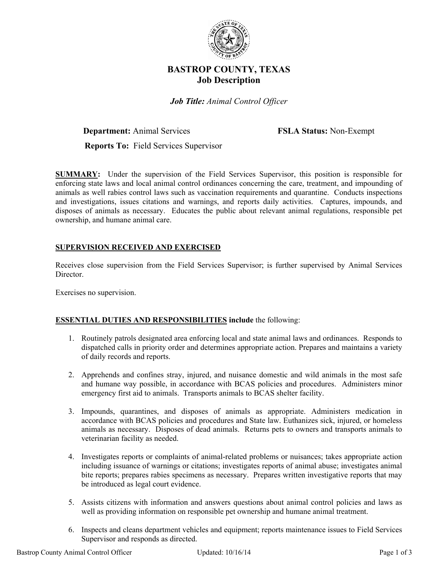

# **BASTROP COUNTY, TEXAS Job Description**

*Job Title: Animal Control Officer* 

**Department:** Animal Services **FSLA Status:** Non-Exempt

 **Reports To:** Field Services Supervisor

**SUMMARY:** Under the supervision of the Field Services Supervisor, this position is responsible for enforcing state laws and local animal control ordinances concerning the care, treatment, and impounding of animals as well rabies control laws such as vaccination requirements and quarantine. Conducts inspections and investigations, issues citations and warnings, and reports daily activities. Captures, impounds, and disposes of animals as necessary. Educates the public about relevant animal regulations, responsible pet ownership, and humane animal care.

# **SUPERVISION RECEIVED AND EXERCISED**

Receives close supervision from the Field Services Supervisor; is further supervised by Animal Services Director.

Exercises no supervision.

### **ESSENTIAL DUTIES AND RESPONSIBILITIES include** the following:

- 1. Routinely patrols designated area enforcing local and state animal laws and ordinances. Responds to dispatched calls in priority order and determines appropriate action. Prepares and maintains a variety of daily records and reports.
- 2. Apprehends and confines stray, injured, and nuisance domestic and wild animals in the most safe and humane way possible, in accordance with BCAS policies and procedures. Administers minor emergency first aid to animals. Transports animals to BCAS shelter facility.
- 3. Impounds, quarantines, and disposes of animals as appropriate. Administers medication in accordance with BCAS policies and procedures and State law. Euthanizes sick, injured, or homeless animals as necessary. Disposes of dead animals. Returns pets to owners and transports animals to veterinarian facility as needed.
- 4. Investigates reports or complaints of animal-related problems or nuisances; takes appropriate action including issuance of warnings or citations; investigates reports of animal abuse; investigates animal bite reports; prepares rabies specimens as necessary. Prepares written investigative reports that may be introduced as legal court evidence.
- 5. Assists citizens with information and answers questions about animal control policies and laws as well as providing information on responsible pet ownership and humane animal treatment.
- 6. Inspects and cleans department vehicles and equipment; reports maintenance issues to Field Services Supervisor and responds as directed.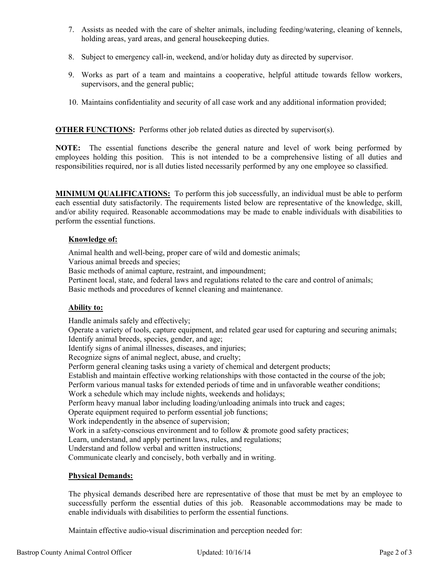- 7. Assists as needed with the care of shelter animals, including feeding/watering, cleaning of kennels, holding areas, yard areas, and general housekeeping duties.
- 8. Subject to emergency call-in, weekend, and/or holiday duty as directed by supervisor.
- 9. Works as part of a team and maintains a cooperative, helpful attitude towards fellow workers, supervisors, and the general public;
- 10. Maintains confidentiality and security of all case work and any additional information provided;

**OTHER FUNCTIONS:** Performs other job related duties as directed by supervisor(s).

**NOTE:** The essential functions describe the general nature and level of work being performed by employees holding this position. This is not intended to be a comprehensive listing of all duties and responsibilities required, nor is all duties listed necessarily performed by any one employee so classified.

**MINIMUM QUALIFICATIONS:** To perform this job successfully, an individual must be able to perform each essential duty satisfactorily. The requirements listed below are representative of the knowledge, skill, and/or ability required. Reasonable accommodations may be made to enable individuals with disabilities to perform the essential functions.

## **Knowledge of:**

Animal health and well-being, proper care of wild and domestic animals;

Various animal breeds and species;

Basic methods of animal capture, restraint, and impoundment;

 Pertinent local, state, and federal laws and regulations related to the care and control of animals; Basic methods and procedures of kennel cleaning and maintenance.

# **Ability to:**

Handle animals safely and effectively;

 Operate a variety of tools, capture equipment, and related gear used for capturing and securing animals; Identify animal breeds, species, gender, and age;

Identify signs of animal illnesses, diseases, and injuries;

Recognize signs of animal neglect, abuse, and cruelty;

Perform general cleaning tasks using a variety of chemical and detergent products;

Establish and maintain effective working relationships with those contacted in the course of the job;

Perform various manual tasks for extended periods of time and in unfavorable weather conditions;

Work a schedule which may include nights, weekends and holidays;

Perform heavy manual labor including loading/unloading animals into truck and cages;

Operate equipment required to perform essential job functions;

Work independently in the absence of supervision;

Work in a safety-conscious environment and to follow & promote good safety practices;

Learn, understand, and apply pertinent laws, rules, and regulations;

Understand and follow verbal and written instructions;

Communicate clearly and concisely, both verbally and in writing.

### **Physical Demands:**

The physical demands described here are representative of those that must be met by an employee to successfully perform the essential duties of this job. Reasonable accommodations may be made to enable individuals with disabilities to perform the essential functions.

Maintain effective audio-visual discrimination and perception needed for: